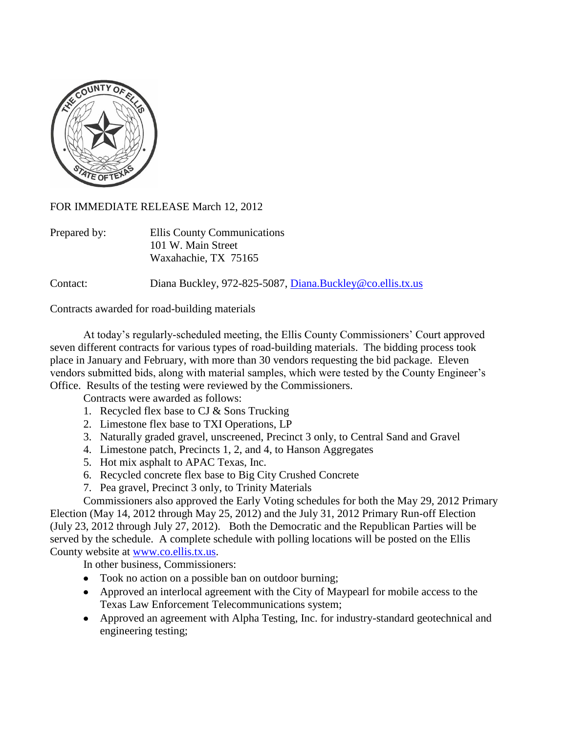

FOR IMMEDIATE RELEASE March 12, 2012

| Prepared by: | Ellis County Communications<br>101 W. Main Street |
|--------------|---------------------------------------------------|
|              | Waxahachie, TX 75165                              |

Contact: Diana Buckley, 972-825-5087, [Diana.Buckley@co.ellis.tx.us](mailto:Diana.Buckley@co.ellis.tx.us)

Contracts awarded for road-building materials

At today's regularly-scheduled meeting, the Ellis County Commissioners' Court approved seven different contracts for various types of road-building materials. The bidding process took place in January and February, with more than 30 vendors requesting the bid package. Eleven vendors submitted bids, along with material samples, which were tested by the County Engineer's Office. Results of the testing were reviewed by the Commissioners.

Contracts were awarded as follows:

- 1. Recycled flex base to CJ & Sons Trucking
- 2. Limestone flex base to TXI Operations, LP
- 3. Naturally graded gravel, unscreened, Precinct 3 only, to Central Sand and Gravel
- 4. Limestone patch, Precincts 1, 2, and 4, to Hanson Aggregates
- 5. Hot mix asphalt to APAC Texas, Inc.
- 6. Recycled concrete flex base to Big City Crushed Concrete
- 7. Pea gravel, Precinct 3 only, to Trinity Materials

Commissioners also approved the Early Voting schedules for both the May 29, 2012 Primary Election (May 14, 2012 through May 25, 2012) and the July 31, 2012 Primary Run-off Election (July 23, 2012 through July 27, 2012). Both the Democratic and the Republican Parties will be served by the schedule. A complete schedule with polling locations will be posted on the Ellis County website at [www.co.ellis.tx.us.](http://www.co.ellis.tx.us/)

In other business, Commissioners:

- Took no action on a possible ban on outdoor burning;
- Approved an interlocal agreement with the City of Maypearl for mobile access to the Texas Law Enforcement Telecommunications system;
- Approved an agreement with Alpha Testing, Inc. for industry-standard geotechnical and engineering testing;